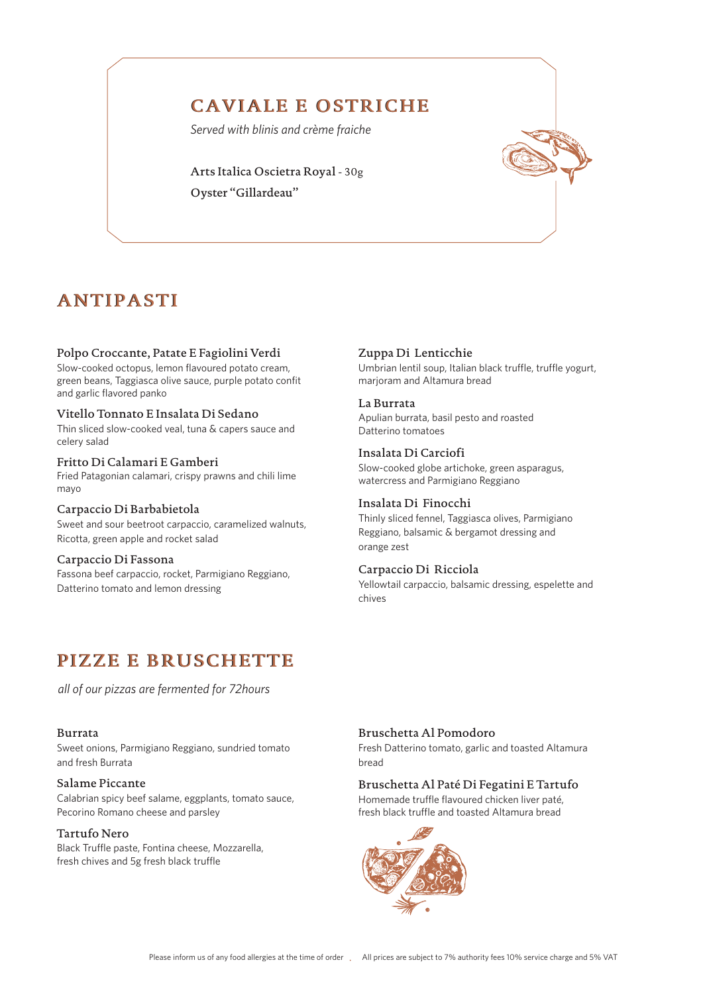# CAVIALE E OSTRICHE

*Served with blinis and crème fraiche*

Arts Italica Oscietra Royal - 30g Oyster "Gillardeau"

# ANTIPASTI

### Polpo Croccante, Patate E Fagiolini Verdi

Slow-cooked octopus, lemon flavoured potato cream, green beans, Taggiasca olive sauce, purple potato confit and garlic flavored panko

#### Vitello Tonnato E Insalata Di Sedano

Thin sliced slow-cooked veal, tuna & capers sauce and celery salad

#### Fritto Di Calamari E Gamberi

Fried Patagonian calamari, crispy prawns and chili lime mayo

#### Carpaccio Di Barbabietola

Sweet and sour beetroot carpaccio, caramelized walnuts, Ricotta, green apple and rocket salad

#### Carpaccio Di Fassona

Fassona beef carpaccio, rocket, Parmigiano Reggiano, Datterino tomato and lemon dressing

#### Zuppa Di Lenticchie

Umbrian lentil soup, Italian black truffle, truffle yogurt, marjoram and Altamura bread

#### La Burrata

Apulian burrata, basil pesto and roasted Datterino tomatoes

Insalata Di Carciofi Slow-cooked globe artichoke, green asparagus, watercress and Parmigiano Reggiano

## Insalata Di Finocchi

Thinly sliced fennel, Taggiasca olives, Parmigiano Reggiano, balsamic & bergamot dressing and orange zest

#### Carpaccio Di Ricciola

Yellowtail carpaccio, balsamic dressing, espelette and chives

# PIZZE E BRUSCHETTE

*all of our pizzas are fermented for 72hours* 

#### Burrata

Sweet onions, Parmigiano Reggiano, sundried tomato and fresh Burrata

#### Salame Piccante

Calabrian spicy beef salame, eggplants, tomato sauce, Pecorino Romano cheese and parsley

### Tartufo Nero

Black Truffle paste, Fontina cheese, Mozzarella, fresh chives and 5g fresh black truffle

# Bruschetta Al Pomodoro

Fresh Datterino tomato, garlic and toasted Altamura bread

# Bruschetta Al Paté Di Fegatini E Tartufo

Homemade truffle flavoured chicken liver paté, fresh black truffle and toasted Altamura bread